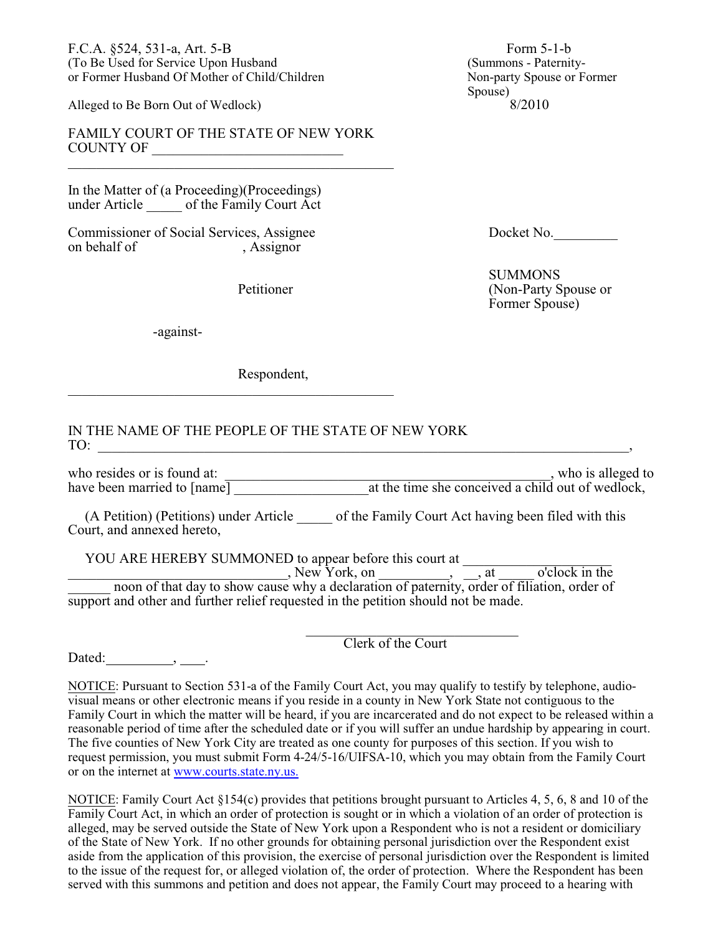F.C.A. §524, 531-a, Art. 5-B Form 5-1-b (To Be Used for Service Upon Husband (Summons - Paternityor Former Husband Of Mother of Child/Children

Alleged to Be Born Out of Wedlock)

FAMILY COURT OF THE STATE OF NEW YORK COUNTY OF

\_\_\_\_\_\_\_\_\_\_\_\_\_\_\_\_\_\_\_\_\_\_\_\_\_\_\_\_\_\_\_\_\_\_\_\_\_\_\_\_\_\_\_\_\_\_

In the Matter of (a Proceeding)(Proceedings) under Article \_\_\_\_\_ of the Family Court Act

Commissioner of Social Services, Assignee Docket No. on behalf of , Assignor

-against-

Respondent,

 $\overline{\phantom{a}}$  , and the set of the set of the set of the set of the set of the set of the set of the set of the set of the set of the set of the set of the set of the set of the set of the set of the set of the set of the s

IN THE NAME OF THE PEOPLE OF THE STATE OF NEW YORK TO: \_\_\_\_\_\_\_\_\_\_\_\_\_\_\_\_\_\_\_\_\_\_\_\_\_\_\_\_\_\_\_\_\_\_\_\_\_\_\_\_\_\_\_\_\_\_\_\_\_\_\_\_\_\_\_\_\_\_\_\_\_\_\_\_\_\_\_\_\_\_\_\_\_\_\_,

who resides or is found at: \_\_\_\_\_\_\_\_\_\_\_\_\_\_\_\_\_\_\_\_\_\_\_\_\_\_\_\_\_\_\_\_\_\_\_\_\_\_\_\_\_\_\_\_\_\_, who is alleged to have been married to [name] \_\_\_\_\_\_\_\_\_\_\_\_\_\_\_\_\_\_\_at the time she conceived a child out of wedlock,

(A Petition) (Petitions) under Article \_\_\_\_\_ of the Family Court Act having been filed with this Court, and annexed hereto,

YOU ARE HEREBY SUMMONED to appear before this court at \_\_\_\_\_\_\_\_\_\_\_\_\_\_\_\_\_\_\_\_\_\_\_\_\_

\_\_\_\_\_\_\_\_\_\_\_\_\_\_\_\_\_\_\_\_\_\_\_\_\_\_\_\_\_\_\_, New York, on \_\_\_\_\_\_\_\_\_\_, \_\_, at \_\_\_\_\_ o'clock in the \_\_\_\_\_\_ noon of that day to show cause why a declaration of paternity, order of filiation, order of support and other and further relief requested in the petition should not be made.

> \_\_\_\_\_\_\_\_\_\_\_\_\_\_\_\_\_\_\_\_\_\_\_\_\_\_\_\_\_\_ Clerk of the Court

Dated:  $\qquad \qquad \underline{\qquad}$ ,  $\qquad \underline{\qquad}$ .

NOTICE: Pursuant to Section 531-a of the Family Court Act, you may qualify to testify by telephone, audiovisual means or other electronic means if you reside in a county in New York State not contiguous to the Family Court in which the matter will be heard, if you are incarcerated and do not expect to be released within a reasonable period of time after the scheduled date or if you will suffer an undue hardship by appearing in court. The five counties of New York City are treated as one county for purposes of this section. If you wish to request permission, you must submit Form 4-24/5-16/UIFSA-10, which you may obtain from the Family Court or on the internet at [www.courts.state.ny.us.](http://www.courts.state.ny.us.)

NOTICE: Family Court Act §154(c) provides that petitions brought pursuant to Articles 4, 5, 6, 8 and 10 of the Family Court Act, in which an order of protection is sought or in which a violation of an order of protection is alleged, may be served outside the State of New York upon a Respondent who is not a resident or domiciliary of the State of New York. If no other grounds for obtaining personal jurisdiction over the Respondent exist aside from the application of this provision, the exercise of personal jurisdiction over the Respondent is limited to the issue of the request for, or alleged violation of, the order of protection. Where the Respondent has been served with this summons and petition and does not appear, the Family Court may proceed to a hearing with

Spouse)<br> $\frac{8}{2010}$ 

 SUMMONS Petitioner (Non-Party Spouse or Former Spouse)